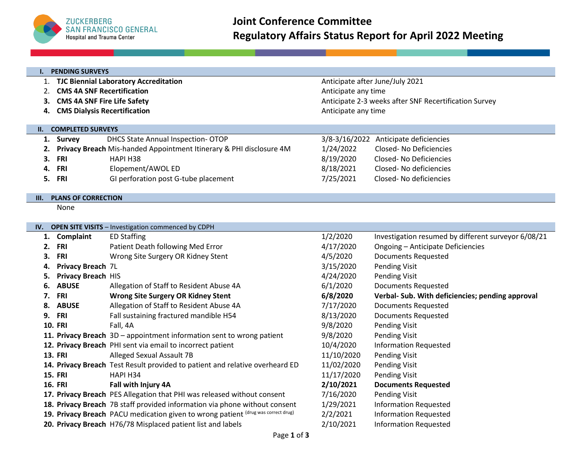

| <b>PENDING SURVEYS</b><br>ι. |                                              |                                                                              |                                                       |                                                     |  |  |
|------------------------------|----------------------------------------------|------------------------------------------------------------------------------|-------------------------------------------------------|-----------------------------------------------------|--|--|
| 1.                           | <b>TJC Biennial Laboratory Accreditation</b> |                                                                              |                                                       | Anticipate after June/July 2021                     |  |  |
| 2.                           | <b>CMS 4A SNF Recertification</b>            |                                                                              | Anticipate any time                                   |                                                     |  |  |
| 3.                           | <b>CMS 4A SNF Fire Life Safety</b>           |                                                                              | Anticipate 2-3 weeks after SNF Recertification Survey |                                                     |  |  |
| 4.                           | <b>CMS Dialysis Recertification</b>          |                                                                              | Anticipate any time                                   |                                                     |  |  |
|                              |                                              |                                                                              |                                                       |                                                     |  |  |
| II. I                        | <b>COMPLETED SURVEYS</b>                     |                                                                              |                                                       |                                                     |  |  |
| 1.                           | <b>Survey</b>                                | <b>DHCS State Annual Inspection- OTOP</b>                                    |                                                       | 3/8-3/16/2022 Anticipate deficiencies               |  |  |
| 2.                           |                                              | Privacy Breach Mis-handed Appointment Itinerary & PHI disclosure 4M          | 1/24/2022                                             | Closed-No Deficiencies                              |  |  |
| 3.                           | <b>FRI</b>                                   | HAPI H38                                                                     | 8/19/2020                                             | <b>Closed-No Deficiencies</b>                       |  |  |
| 4.                           | <b>FRI</b>                                   | Elopement/AWOL ED                                                            | 8/18/2021                                             | Closed-No deficiencies                              |  |  |
| 5.                           | <b>FRI</b>                                   | GI perforation post G-tube placement                                         | 7/25/2021                                             | Closed-No deficiencies                              |  |  |
|                              |                                              |                                                                              |                                                       |                                                     |  |  |
| Ш.                           | <b>PLANS OF CORRECTION</b>                   |                                                                              |                                                       |                                                     |  |  |
|                              | None                                         |                                                                              |                                                       |                                                     |  |  |
|                              |                                              |                                                                              |                                                       |                                                     |  |  |
| IV.                          |                                              | <b>OPEN SITE VISITS - Investigation commenced by CDPH</b>                    |                                                       |                                                     |  |  |
|                              | 1. Complaint                                 | <b>ED Staffing</b>                                                           | 1/2/2020                                              | Investigation resumed by different surveyor 6/08/21 |  |  |
| 2.                           | <b>FRI</b>                                   | Patient Death following Med Error                                            | 4/17/2020                                             | Ongoing - Anticipate Deficiencies                   |  |  |
| З.                           | <b>FRI</b>                                   | Wrong Site Surgery OR Kidney Stent                                           | 4/5/2020                                              | <b>Documents Requested</b>                          |  |  |
| 4.                           | Privacy Breach 7L                            |                                                                              | 3/15/2020                                             | <b>Pending Visit</b>                                |  |  |
| 5.                           | <b>Privacy Breach HIS</b>                    |                                                                              | 4/24/2020                                             | <b>Pending Visit</b>                                |  |  |
| 6.                           | <b>ABUSE</b>                                 | Allegation of Staff to Resident Abuse 4A                                     | 6/1/2020                                              | <b>Documents Requested</b>                          |  |  |
| 7.                           | <b>FRI</b>                                   | <b>Wrong Site Surgery OR Kidney Stent</b>                                    | 6/8/2020                                              | Verbal- Sub. With deficiencies; pending approval    |  |  |
| 8.                           | <b>ABUSE</b>                                 | Allegation of Staff to Resident Abuse 4A                                     | 7/17/2020                                             | <b>Documents Requested</b>                          |  |  |
| 9.                           | FRI                                          | Fall sustaining fractured mandible H54                                       | 8/13/2020                                             | <b>Documents Requested</b>                          |  |  |
|                              | <b>10. FRI</b>                               | Fall, 4A                                                                     | 9/8/2020                                              | <b>Pending Visit</b>                                |  |  |
|                              |                                              | 11. Privacy Breach 3D - appointment information sent to wrong patient        | 9/8/2020                                              | <b>Pending Visit</b>                                |  |  |
|                              |                                              | 12. Privacy Breach PHI sent via email to incorrect patient                   | 10/4/2020                                             | <b>Information Requested</b>                        |  |  |
|                              | <b>13. FRI</b>                               | Alleged Sexual Assault 7B                                                    | 11/10/2020                                            | <b>Pending Visit</b>                                |  |  |
|                              |                                              | 14. Privacy Breach Test Result provided to patient and relative overheard ED | 11/02/2020                                            | <b>Pending Visit</b>                                |  |  |
|                              | <b>15. FRI</b>                               | HAPI H34                                                                     | 11/17/2020                                            | <b>Pending Visit</b>                                |  |  |
|                              | <b>16. FRI</b>                               | Fall with Injury 4A                                                          | 2/10/2021                                             | <b>Documents Requested</b>                          |  |  |
|                              |                                              |                                                                              |                                                       |                                                     |  |  |

- **17. Privacy Breach** PES Allegation that PHI was released without consent 7/16/2020 Pending Visit
- **18. Privacy Breach** 7B staff provided information via phone without consent 1/29/2021 Information Requested
- **19. Privacy Breach** PACU medication given to wrong patient (drug was correct drug) 2/2/2021 Information Requested
- **20. Privacy Breach** H76/78 Misplaced patient list and labels 2/10/2021 Information Requested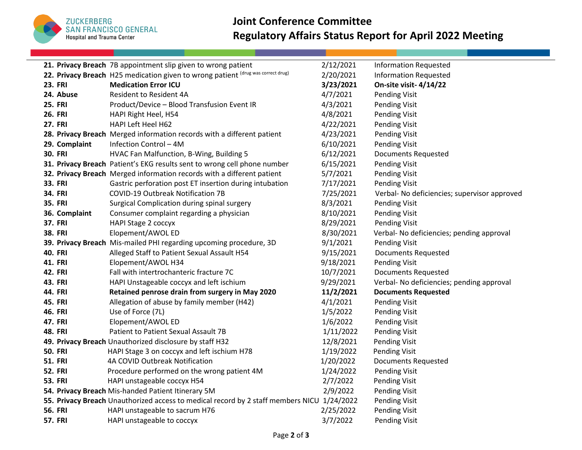

## **Joint Conference Committee Regulatory Affairs Status Report for April 2022 Meeting**

|                | 21. Privacy Breach 7B appointment slip given to wrong patient                              | 2/12/2021 | <b>Information Requested</b>                 |
|----------------|--------------------------------------------------------------------------------------------|-----------|----------------------------------------------|
|                | 22. Privacy Breach H25 medication given to wrong patient (drug was correct drug)           | 2/20/2021 | <b>Information Requested</b>                 |
| <b>23. FRI</b> | <b>Medication Error ICU</b>                                                                | 3/23/2021 | On-site visit-4/14/22                        |
| 24. Abuse      | <b>Resident to Resident 4A</b>                                                             | 4/7/2021  | <b>Pending Visit</b>                         |
| <b>25. FRI</b> | Product/Device - Blood Transfusion Event IR                                                | 4/3/2021  | <b>Pending Visit</b>                         |
| <b>26. FRI</b> | HAPI Right Heel, H54                                                                       | 4/8/2021  | <b>Pending Visit</b>                         |
| <b>27. FRI</b> | HAPI Left Heel H62                                                                         | 4/22/2021 | <b>Pending Visit</b>                         |
|                | 28. Privacy Breach Merged information records with a different patient                     | 4/23/2021 | <b>Pending Visit</b>                         |
| 29. Complaint  | Infection Control - 4M                                                                     | 6/10/2021 | <b>Pending Visit</b>                         |
| <b>30. FRI</b> | HVAC Fan Malfunction, B-Wing, Building 5                                                   | 6/12/2021 | <b>Documents Requested</b>                   |
|                | 31. Privacy Breach Patient's EKG results sent to wrong cell phone number                   | 6/15/2021 | <b>Pending Visit</b>                         |
|                | 32. Privacy Breach Merged information records with a different patient                     | 5/7/2021  | <b>Pending Visit</b>                         |
| <b>33. FRI</b> | Gastric perforation post ET insertion during intubation                                    | 7/17/2021 | <b>Pending Visit</b>                         |
| <b>34. FRI</b> | <b>COVID-19 Outbreak Notification 7B</b>                                                   | 7/25/2021 | Verbal- No deficiencies; supervisor approved |
| <b>35. FRI</b> | Surgical Complication during spinal surgery                                                | 8/3/2021  | <b>Pending Visit</b>                         |
| 36. Complaint  | Consumer complaint regarding a physician                                                   | 8/10/2021 | <b>Pending Visit</b>                         |
| <b>37. FRI</b> | <b>HAPI Stage 2 coccyx</b>                                                                 | 8/29/2021 | <b>Pending Visit</b>                         |
| <b>38. FRI</b> | Elopement/AWOL ED                                                                          | 8/30/2021 | Verbal- No deficiencies; pending approval    |
|                | 39. Privacy Breach Mis-mailed PHI regarding upcoming procedure, 3D                         | 9/1/2021  | <b>Pending Visit</b>                         |
| <b>40. FRI</b> | Alleged Staff to Patient Sexual Assault H54                                                | 9/15/2021 | <b>Documents Requested</b>                   |
| <b>41. FRI</b> | Elopement/AWOL H34                                                                         | 9/18/2021 | <b>Pending Visit</b>                         |
| <b>42. FRI</b> | Fall with intertrochanteric fracture 7C                                                    | 10/7/2021 | <b>Documents Requested</b>                   |
| <b>43. FRI</b> | HAPI Unstageable coccyx and left ischium                                                   | 9/29/2021 | Verbal- No deficiencies; pending approval    |
| <b>44. FRI</b> | Retained penrose drain from surgery in May 2020                                            | 11/2/2021 | <b>Documents Requested</b>                   |
| <b>45. FRI</b> | Allegation of abuse by family member (H42)                                                 | 4/1/2021  | <b>Pending Visit</b>                         |
| <b>46. FRI</b> | Use of Force (7L)                                                                          | 1/5/2022  | <b>Pending Visit</b>                         |
| <b>47. FRI</b> | Elopement/AWOL ED                                                                          | 1/6/2022  | Pending Visit                                |
| <b>48. FRI</b> | Patient to Patient Sexual Assault 7B                                                       | 1/11/2022 | <b>Pending Visit</b>                         |
|                | 49. Privacy Breach Unauthorized disclosure by staff H32                                    | 12/8/2021 | <b>Pending Visit</b>                         |
| <b>50. FRI</b> | HAPI Stage 3 on coccyx and left ischium H78                                                | 1/19/2022 | <b>Pending Visit</b>                         |
| <b>51. FRI</b> | 4A COVID Outbreak Notification                                                             | 1/20/2022 | <b>Documents Requested</b>                   |
| <b>52. FRI</b> | Procedure performed on the wrong patient 4M                                                | 1/24/2022 | <b>Pending Visit</b>                         |
| <b>53. FRI</b> | HAPI unstageable coccyx H54                                                                | 2/7/2022  | <b>Pending Visit</b>                         |
|                | 54. Privacy Breach Mis-handed Patient Itinerary 5M                                         | 2/9/2022  | Pending Visit                                |
|                | 55. Privacy Breach Unauthorized access to medical record by 2 staff members NICU 1/24/2022 |           | <b>Pending Visit</b>                         |
| <b>56. FRI</b> | HAPI unstageable to sacrum H76                                                             | 2/25/2022 | <b>Pending Visit</b>                         |
| <b>57. FRI</b> | HAPI unstageable to coccyx                                                                 | 3/7/2022  | <b>Pending Visit</b>                         |